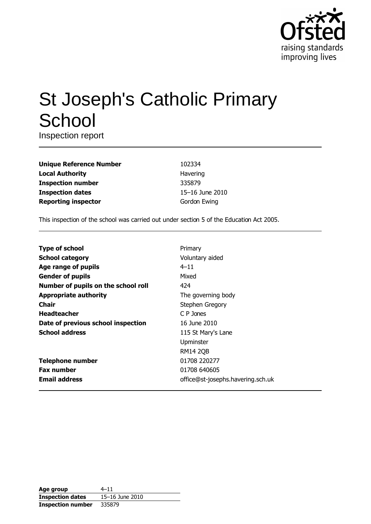

# **St Joseph's Catholic Primary** School

Inspection report

| <b>Unique Reference Number</b> |
|--------------------------------|
| <b>Local Authority</b>         |
| <b>Inspection number</b>       |
| <b>Inspection dates</b>        |
| <b>Reporting inspector</b>     |

102334 Havering 335879 15-16 June 2010 Gordon Ewing

This inspection of the school was carried out under section 5 of the Education Act 2005.

| <b>Type of school</b>               | Primary                           |
|-------------------------------------|-----------------------------------|
| <b>School category</b>              | Voluntary aided                   |
| Age range of pupils                 | $4 - 11$                          |
| <b>Gender of pupils</b>             | Mixed                             |
| Number of pupils on the school roll | 424                               |
| <b>Appropriate authority</b>        | The governing body                |
| Chair                               | Stephen Gregory                   |
| <b>Headteacher</b>                  | C P Jones                         |
| Date of previous school inspection  | 16 June 2010                      |
| <b>School address</b>               | 115 St Mary's Lane                |
|                                     | Upminster                         |
|                                     | <b>RM14 2QB</b>                   |
| <b>Telephone number</b>             | 01708 220277                      |
| <b>Fax number</b>                   | 01708 640605                      |
| <b>Email address</b>                | office@st-josephs.havering.sch.uk |

| Age group                | $4 - 11$        |
|--------------------------|-----------------|
| <b>Inspection dates</b>  | 15-16 June 2010 |
| <b>Inspection number</b> | 335879          |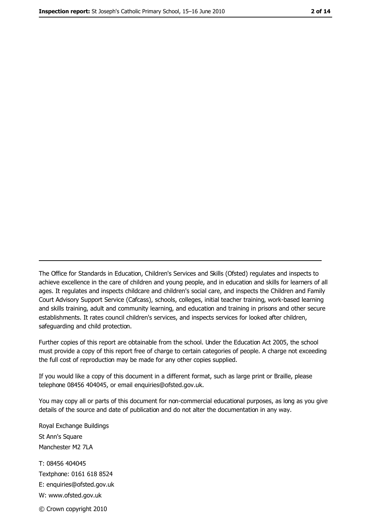The Office for Standards in Education, Children's Services and Skills (Ofsted) regulates and inspects to achieve excellence in the care of children and young people, and in education and skills for learners of all ages. It regulates and inspects childcare and children's social care, and inspects the Children and Family Court Advisory Support Service (Cafcass), schools, colleges, initial teacher training, work-based learning and skills training, adult and community learning, and education and training in prisons and other secure establishments. It rates council children's services, and inspects services for looked after children, safeguarding and child protection.

Further copies of this report are obtainable from the school. Under the Education Act 2005, the school must provide a copy of this report free of charge to certain categories of people. A charge not exceeding the full cost of reproduction may be made for any other copies supplied.

If you would like a copy of this document in a different format, such as large print or Braille, please telephone 08456 404045, or email enquiries@ofsted.gov.uk.

You may copy all or parts of this document for non-commercial educational purposes, as long as you give details of the source and date of publication and do not alter the documentation in any way.

Royal Exchange Buildings St Ann's Square Manchester M2 7LA T: 08456 404045 Textphone: 0161 618 8524 E: enquiries@ofsted.gov.uk W: www.ofsted.gov.uk

© Crown copyright 2010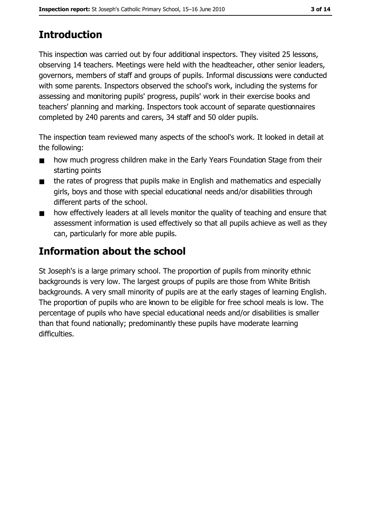# **Introduction**

This inspection was carried out by four additional inspectors. They visited 25 lessons, observing 14 teachers. Meetings were held with the headteacher, other senior leaders, governors, members of staff and groups of pupils. Informal discussions were conducted with some parents. Inspectors observed the school's work, including the systems for assessing and monitoring pupils' progress, pupils' work in their exercise books and teachers' planning and marking. Inspectors took account of separate questionnaires completed by 240 parents and carers, 34 staff and 50 older pupils.

The inspection team reviewed many aspects of the school's work. It looked in detail at the following:

- how much progress children make in the Early Years Foundation Stage from their  $\blacksquare$ starting points
- the rates of progress that pupils make in English and mathematics and especially  $\blacksquare$ girls, boys and those with special educational needs and/or disabilities through different parts of the school.
- how effectively leaders at all levels monitor the quality of teaching and ensure that  $\blacksquare$ assessment information is used effectively so that all pupils achieve as well as they can, particularly for more able pupils.

# Information about the school

St Joseph's is a large primary school. The proportion of pupils from minority ethnic backgrounds is very low. The largest groups of pupils are those from White British backgrounds. A very small minority of pupils are at the early stages of learning English. The proportion of pupils who are known to be eligible for free school meals is low. The percentage of pupils who have special educational needs and/or disabilities is smaller than that found nationally; predominantly these pupils have moderate learning difficulties.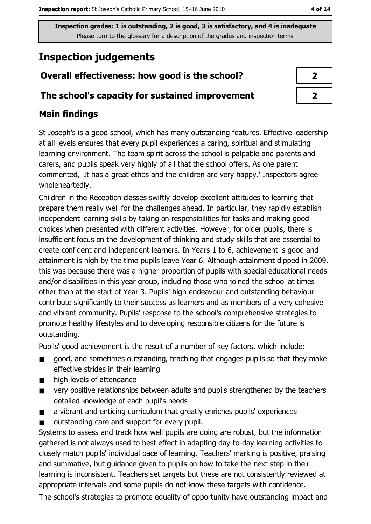# **Inspection judgements**

# Overall effectiveness: how good is the school?

### The school's capacity for sustained improvement

# **Main findings**

St Joseph's is a good school, which has many outstanding features. Effective leadership at all levels ensures that every pupil experiences a caring, spiritual and stimulating learning environment. The team spirit across the school is palpable and parents and carers, and pupils speak very highly of all that the school offers. As one parent commented, 'It has a great ethos and the children are very happy.' Inspectors agree wholeheartedly.

Children in the Reception classes swiftly develop excellent attitudes to learning that prepare them really well for the challenges ahead. In particular, they rapidly establish independent learning skills by taking on responsibilities for tasks and making good choices when presented with different activities. However, for older pupils, there is insufficient focus on the development of thinking and study skills that are essential to create confident and independent learners. In Years 1 to 6, achievement is good and attainment is high by the time pupils leave Year 6. Although attainment dipped in 2009, this was because there was a higher proportion of pupils with special educational needs and/or disabilities in this year group, including those who joined the school at times other than at the start of Year 3. Pupils' high endeavour and outstanding behaviour contribute significantly to their success as learners and as members of a very cohesive and vibrant community. Pupils' response to the school's comprehensive strategies to promote healthy lifestyles and to developing responsible citizens for the future is outstanding.

Pupils' good achievement is the result of a number of key factors, which include:

- good, and sometimes outstanding, teaching that engages pupils so that they make  $\blacksquare$ effective strides in their learning
- high levels of attendance  $\blacksquare$
- very positive relationships between adults and pupils strengthened by the teachers'  $\blacksquare$ detailed knowledge of each pupil's needs
- a vibrant and enticing curriculum that greatly enriches pupils' experiences  $\blacksquare$
- outstanding care and support for every pupil.  $\blacksquare$

Systems to assess and track how well pupils are doing are robust, but the information gathered is not always used to best effect in adapting day-to-day learning activities to closely match pupils' individual pace of learning. Teachers' marking is positive, praising and summative, but quidance given to pupils on how to take the next step in their learning is inconsistent. Teachers set targets but these are not consistently reviewed at appropriate intervals and some pupils do not know these targets with confidence.

The school's strategies to promote equality of opportunity have outstanding impact and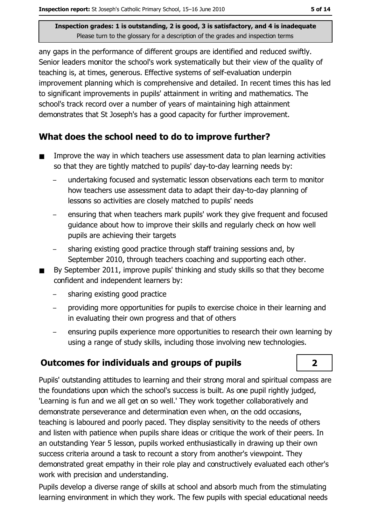any gaps in the performance of different groups are identified and reduced swiftly. Senior leaders monitor the school's work systematically but their view of the quality of teaching is, at times, generous. Effective systems of self-evaluation underpin improvement planning which is comprehensive and detailed. In recent times this has led to significant improvements in pupils' attainment in writing and mathematics. The school's track record over a number of years of maintaining high attainment demonstrates that St Joseph's has a good capacity for further improvement.

# What does the school need to do to improve further?

- Improve the way in which teachers use assessment data to plan learning activities  $\blacksquare$ so that they are tightly matched to pupils' day-to-day learning needs by:
	- undertaking focused and systematic lesson observations each term to monitor how teachers use assessment data to adapt their day-to-day planning of lessons so activities are closely matched to pupils' needs
	- ensuring that when teachers mark pupils' work they give frequent and focused quidance about how to improve their skills and regularly check on how well pupils are achieving their targets
	- sharing existing good practice through staff training sessions and, by September 2010, through teachers coaching and supporting each other.
- By September 2011, improve pupils' thinking and study skills so that they become confident and independent learners by:
	- sharing existing good practice
	- providing more opportunities for pupils to exercise choice in their learning and in evaluating their own progress and that of others
	- ensuring pupils experience more opportunities to research their own learning by using a range of study skills, including those involving new technologies.

# **Outcomes for individuals and groups of pupils**

Pupils' outstanding attitudes to learning and their strong moral and spiritual compass are the foundations upon which the school's success is built. As one pupil rightly judged, 'Learning is fun and we all get on so well.' They work together collaboratively and demonstrate perseverance and determination even when, on the odd occasions, teaching is laboured and poorly paced. They display sensitivity to the needs of others and listen with patience when pupils share ideas or critique the work of their peers. In an outstanding Year 5 lesson, pupils worked enthusiastically in drawing up their own success criteria around a task to recount a story from another's viewpoint. They demonstrated great empathy in their role play and constructively evaluated each other's work with precision and understanding.

Pupils develop a diverse range of skills at school and absorb much from the stimulating learning environment in which they work. The few pupils with special educational needs

 $\overline{2}$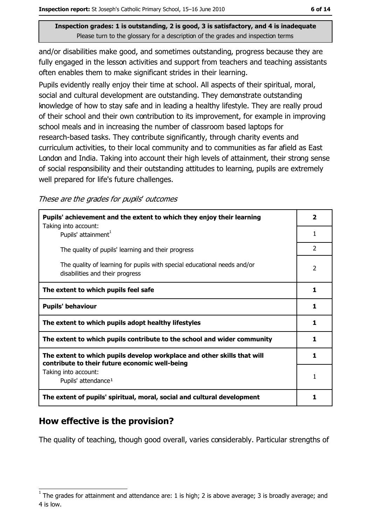and/or disabilities make good, and sometimes outstanding, progress because they are fully engaged in the lesson activities and support from teachers and teaching assistants often enables them to make significant strides in their learning.

Pupils evidently really enjoy their time at school. All aspects of their spiritual, moral, social and cultural development are outstanding. They demonstrate outstanding knowledge of how to stay safe and in leading a healthy lifestyle. They are really proud of their school and their own contribution to its improvement, for example in improving school meals and in increasing the number of classroom based laptops for research-based tasks. They contribute significantly, through charity events and curriculum activities, to their local community and to communities as far afield as East London and India. Taking into account their high levels of attainment, their strong sense of social responsibility and their outstanding attitudes to learning, pupils are extremely well prepared for life's future challenges.

These are the grades for pupils' outcomes

| Pupils' achievement and the extent to which they enjoy their learning<br>Taking into account:                             | $\overline{\mathbf{2}}$ |
|---------------------------------------------------------------------------------------------------------------------------|-------------------------|
| Pupils' attainment <sup>1</sup>                                                                                           | 1                       |
| The quality of pupils' learning and their progress                                                                        | $\mathcal{P}$           |
| The quality of learning for pupils with special educational needs and/or<br>disabilities and their progress               | $\overline{2}$          |
| The extent to which pupils feel safe                                                                                      | 1                       |
| <b>Pupils' behaviour</b>                                                                                                  | 1                       |
| The extent to which pupils adopt healthy lifestyles                                                                       | 1                       |
| The extent to which pupils contribute to the school and wider community                                                   | 1                       |
| The extent to which pupils develop workplace and other skills that will<br>contribute to their future economic well-being | 1.                      |
| Taking into account:<br>Pupils' attendance <sup>1</sup>                                                                   | 1                       |
| The extent of pupils' spiritual, moral, social and cultural development                                                   |                         |

### How effective is the provision?

The quality of teaching, though good overall, varies considerably. Particular strengths of

The grades for attainment and attendance are: 1 is high; 2 is above average; 3 is broadly average; and 4 is low.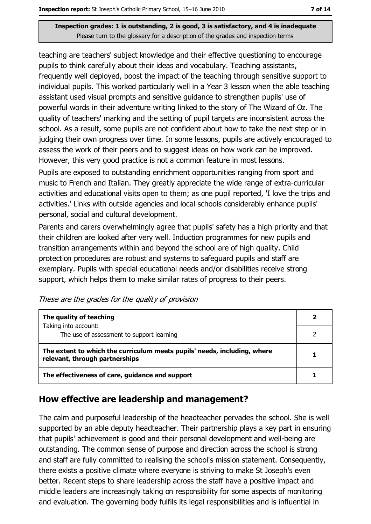teaching are teachers' subject knowledge and their effective questioning to encourage pupils to think carefully about their ideas and vocabulary. Teaching assistants, frequently well deployed, boost the impact of the teaching through sensitive support to individual pupils. This worked particularly well in a Year 3 lesson when the able teaching assistant used visual prompts and sensitive guidance to strengthen pupils' use of powerful words in their adventure writing linked to the story of The Wizard of Oz. The quality of teachers' marking and the setting of pupil targets are inconsistent across the school. As a result, some pupils are not confident about how to take the next step or in judging their own progress over time. In some lessons, pupils are actively encouraged to assess the work of their peers and to suggest ideas on how work can be improved. However, this very good practice is not a common feature in most lessons.

Pupils are exposed to outstanding enrichment opportunities ranging from sport and music to French and Italian. They greatly appreciate the wide range of extra-curricular activities and educational visits open to them; as one pupil reported, 'I love the trips and activities.' Links with outside agencies and local schools considerably enhance pupils' personal, social and cultural development.

Parents and carers overwhelmingly agree that pupils' safety has a high priority and that their children are looked after very well. Induction programmes for new pupils and transition arrangements within and beyond the school are of high quality. Child protection procedures are robust and systems to safeguard pupils and staff are exemplary. Pupils with special educational needs and/or disabilities receive strong support, which helps them to make similar rates of progress to their peers.

| The quality of teaching                                                                                    |  |
|------------------------------------------------------------------------------------------------------------|--|
| Taking into account:<br>The use of assessment to support learning                                          |  |
| The extent to which the curriculum meets pupils' needs, including, where<br>relevant, through partnerships |  |
| The effectiveness of care, guidance and support                                                            |  |

### How effective are leadership and management?

The calm and purposeful leadership of the headteacher pervades the school. She is well supported by an able deputy headteacher. Their partnership plays a key part in ensuring that pupils' achievement is good and their personal development and well-being are outstanding. The common sense of purpose and direction across the school is strong and staff are fully committed to realising the school's mission statement. Consequently, there exists a positive climate where everyone is striving to make St Joseph's even better. Recent steps to share leadership across the staff have a positive impact and middle leaders are increasingly taking on responsibility for some aspects of monitoring and evaluation. The governing body fulfils its legal responsibilities and is influential in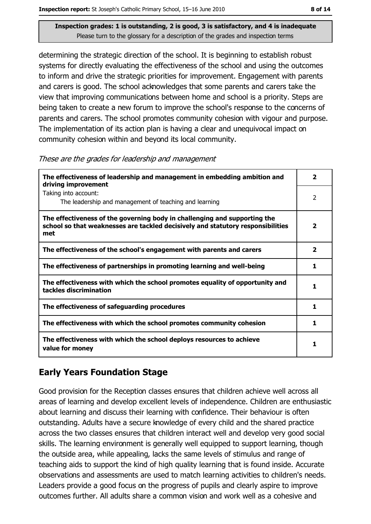determining the strategic direction of the school. It is beginning to establish robust systems for directly evaluating the effectiveness of the school and using the outcomes to inform and drive the strategic priorities for improvement. Engagement with parents and carers is good. The school acknowledges that some parents and carers take the view that improving communications between home and school is a priority. Steps are being taken to create a new forum to improve the school's response to the concerns of parents and carers. The school promotes community cohesion with vigour and purpose. The implementation of its action plan is having a clear and unequivocal impact on community cohesion within and beyond its local community.

These are the grades for leadership and management

| The effectiveness of leadership and management in embedding ambition and<br>driving improvement                                                                     | $\overline{\mathbf{2}}$ |
|---------------------------------------------------------------------------------------------------------------------------------------------------------------------|-------------------------|
| Taking into account:<br>The leadership and management of teaching and learning                                                                                      | 2                       |
| The effectiveness of the governing body in challenging and supporting the<br>school so that weaknesses are tackled decisively and statutory responsibilities<br>met | $\overline{\mathbf{2}}$ |
| The effectiveness of the school's engagement with parents and carers                                                                                                | $\overline{\mathbf{2}}$ |
| The effectiveness of partnerships in promoting learning and well-being                                                                                              | 1                       |
| The effectiveness with which the school promotes equality of opportunity and<br>tackles discrimination                                                              | 1                       |
| The effectiveness of safeguarding procedures                                                                                                                        | 1                       |
| The effectiveness with which the school promotes community cohesion                                                                                                 | 1                       |
| The effectiveness with which the school deploys resources to achieve<br>value for money                                                                             |                         |

# **Early Years Foundation Stage**

Good provision for the Reception classes ensures that children achieve well across all areas of learning and develop excellent levels of independence. Children are enthusiastic about learning and discuss their learning with confidence. Their behaviour is often outstanding. Adults have a secure knowledge of every child and the shared practice across the two classes ensures that children interact well and develop very good social skills. The learning environment is generally well equipped to support learning, though the outside area, while appealing, lacks the same levels of stimulus and range of teaching aids to support the kind of high quality learning that is found inside. Accurate observations and assessments are used to match learning activities to children's needs. Leaders provide a good focus on the progress of pupils and clearly aspire to improve outcomes further. All adults share a common vision and work well as a cohesive and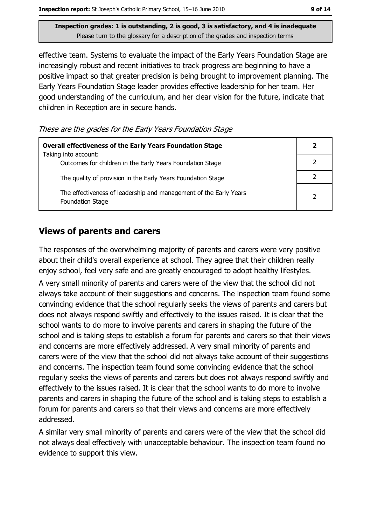effective team. Systems to evaluate the impact of the Early Years Foundation Stage are increasingly robust and recent initiatives to track progress are beginning to have a positive impact so that greater precision is being brought to improvement planning. The Early Years Foundation Stage leader provides effective leadership for her team. Her good understanding of the curriculum, and her clear vision for the future, indicate that children in Reception are in secure hands.

These are the grades for the Early Years Foundation Stage

| <b>Overall effectiveness of the Early Years Foundation Stage</b><br>Taking into account:     |               |
|----------------------------------------------------------------------------------------------|---------------|
| Outcomes for children in the Early Years Foundation Stage                                    |               |
| The quality of provision in the Early Years Foundation Stage                                 |               |
| The effectiveness of leadership and management of the Early Years<br><b>Foundation Stage</b> | $\mathfrak z$ |

### **Views of parents and carers**

The responses of the overwhelming majority of parents and carers were very positive about their child's overall experience at school. They agree that their children really enjoy school, feel very safe and are greatly encouraged to adopt healthy lifestyles. A very small minority of parents and carers were of the view that the school did not always take account of their suggestions and concerns. The inspection team found some convincing evidence that the school regularly seeks the views of parents and carers but does not always respond swiftly and effectively to the issues raised. It is clear that the school wants to do more to involve parents and carers in shaping the future of the school and is taking steps to establish a forum for parents and carers so that their views and concerns are more effectively addressed. A very small minority of parents and carers were of the view that the school did not always take account of their suggestions and concerns. The inspection team found some convincing evidence that the school regularly seeks the views of parents and carers but does not always respond swiftly and effectively to the issues raised. It is clear that the school wants to do more to involve parents and carers in shaping the future of the school and is taking steps to establish a forum for parents and carers so that their views and concerns are more effectively addressed.

A similar very small minority of parents and carers were of the view that the school did not always deal effectively with unacceptable behaviour. The inspection team found no evidence to support this view.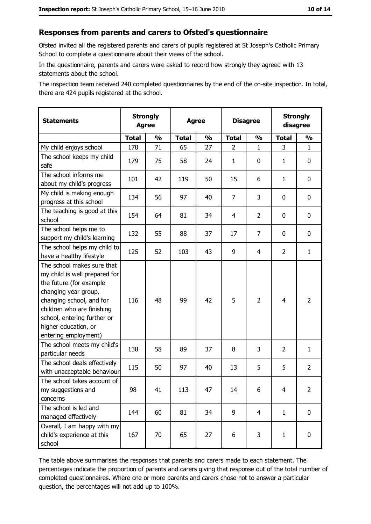#### Responses from parents and carers to Ofsted's questionnaire

Ofsted invited all the registered parents and carers of pupils registered at St Joseph's Catholic Primary School to complete a questionnaire about their views of the school.

In the questionnaire, parents and carers were asked to record how strongly they agreed with 13 statements about the school.

The inspection team received 240 completed questionnaires by the end of the on-site inspection. In total, there are 424 pupils registered at the school.

| <b>Statements</b>                                                                                                                                                                                                                                       | <b>Strongly</b><br><b>Agree</b> |               | <b>Agree</b> |               | <b>Disagree</b> |                | <b>Strongly</b><br>disagree |                |
|---------------------------------------------------------------------------------------------------------------------------------------------------------------------------------------------------------------------------------------------------------|---------------------------------|---------------|--------------|---------------|-----------------|----------------|-----------------------------|----------------|
|                                                                                                                                                                                                                                                         | <b>Total</b>                    | $\frac{1}{2}$ | <b>Total</b> | $\frac{0}{0}$ | <b>Total</b>    | $\frac{1}{2}$  | <b>Total</b>                | $\frac{1}{2}$  |
| My child enjoys school                                                                                                                                                                                                                                  | 170                             | 71            | 65           | 27            | $\overline{2}$  | 1              | 3                           | $\mathbf{1}$   |
| The school keeps my child<br>safe                                                                                                                                                                                                                       | 179                             | 75            | 58           | 24            | $\mathbf{1}$    | 0              | 1                           | $\mathbf 0$    |
| The school informs me<br>about my child's progress                                                                                                                                                                                                      | 101                             | 42            | 119          | 50            | 15              | 6              | 1                           | 0              |
| My child is making enough<br>progress at this school                                                                                                                                                                                                    | 134                             | 56            | 97           | 40            | $\overline{7}$  | 3              | 0                           | 0              |
| The teaching is good at this<br>school                                                                                                                                                                                                                  | 154                             | 64            | 81           | 34            | 4               | $\overline{2}$ | 0                           | 0              |
| The school helps me to<br>support my child's learning                                                                                                                                                                                                   | 132                             | 55            | 88           | 37            | 17              | $\overline{7}$ | 0                           | 0              |
| The school helps my child to<br>have a healthy lifestyle                                                                                                                                                                                                | 125                             | 52            | 103          | 43            | 9               | 4              | $\overline{2}$              | $\mathbf{1}$   |
| The school makes sure that<br>my child is well prepared for<br>the future (for example<br>changing year group,<br>changing school, and for<br>children who are finishing<br>school, entering further or<br>higher education, or<br>entering employment) | 116                             | 48            | 99           | 42            | 5               | $\overline{2}$ | $\overline{4}$              | $\overline{2}$ |
| The school meets my child's<br>particular needs                                                                                                                                                                                                         | 138                             | 58            | 89           | 37            | 8               | 3              | $\overline{2}$              | $\mathbf{1}$   |
| The school deals effectively<br>with unacceptable behaviour                                                                                                                                                                                             | 115                             | 50            | 97           | 40            | 13              | 5              | 5                           | $\overline{2}$ |
| The school takes account of<br>my suggestions and<br>concerns                                                                                                                                                                                           | 98                              | 41            | 113          | 47            | 14              | 6              | 4                           | $\overline{2}$ |
| The school is led and<br>managed effectively                                                                                                                                                                                                            | 144                             | 60            | 81           | 34            | 9               | 4              | $\mathbf{1}$                | 0              |
| Overall, I am happy with my<br>child's experience at this<br>school                                                                                                                                                                                     | 167                             | 70            | 65           | 27            | 6               | 3              | $\mathbf{1}$                | 0              |

The table above summarises the responses that parents and carers made to each statement. The percentages indicate the proportion of parents and carers giving that response out of the total number of completed questionnaires. Where one or more parents and carers chose not to answer a particular question, the percentages will not add up to 100%.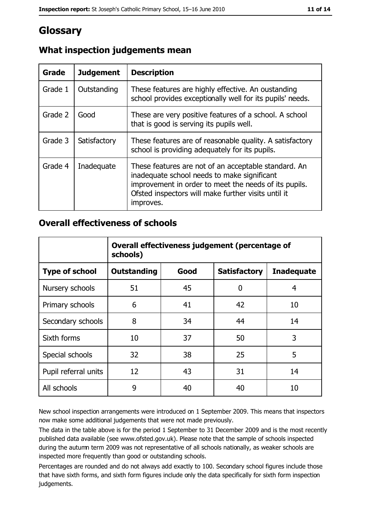# Glossary

| Grade   | <b>Judgement</b> | <b>Description</b>                                                                                                                                                                                                               |
|---------|------------------|----------------------------------------------------------------------------------------------------------------------------------------------------------------------------------------------------------------------------------|
| Grade 1 | Outstanding      | These features are highly effective. An oustanding<br>school provides exceptionally well for its pupils' needs.                                                                                                                  |
| Grade 2 | Good             | These are very positive features of a school. A school<br>that is good is serving its pupils well.                                                                                                                               |
| Grade 3 | Satisfactory     | These features are of reasonable quality. A satisfactory<br>school is providing adequately for its pupils.                                                                                                                       |
| Grade 4 | Inadequate       | These features are not of an acceptable standard. An<br>inadequate school needs to make significant<br>improvement in order to meet the needs of its pupils.<br>Ofsted inspectors will make further visits until it<br>improves. |

# What inspection judgements mean

### **Overall effectiveness of schools**

|                       | Overall effectiveness judgement (percentage of<br>schools) |      |                     |                   |
|-----------------------|------------------------------------------------------------|------|---------------------|-------------------|
| <b>Type of school</b> | <b>Outstanding</b>                                         | Good | <b>Satisfactory</b> | <b>Inadequate</b> |
| Nursery schools       | 51                                                         | 45   | 0                   | 4                 |
| Primary schools       | 6                                                          | 41   | 42                  | 10                |
| Secondary schools     | 8                                                          | 34   | 44                  | 14                |
| Sixth forms           | 10                                                         | 37   | 50                  | 3                 |
| Special schools       | 32                                                         | 38   | 25                  | 5                 |
| Pupil referral units  | 12                                                         | 43   | 31                  | 14                |
| All schools           | 9                                                          | 40   | 40                  | 10                |

New school inspection arrangements were introduced on 1 September 2009. This means that inspectors now make some additional judgements that were not made previously.

The data in the table above is for the period 1 September to 31 December 2009 and is the most recently published data available (see www.ofsted.gov.uk). Please note that the sample of schools inspected during the autumn term 2009 was not representative of all schools nationally, as weaker schools are inspected more frequently than good or outstanding schools.

Percentages are rounded and do not always add exactly to 100. Secondary school figures include those that have sixth forms, and sixth form figures include only the data specifically for sixth form inspection judgements.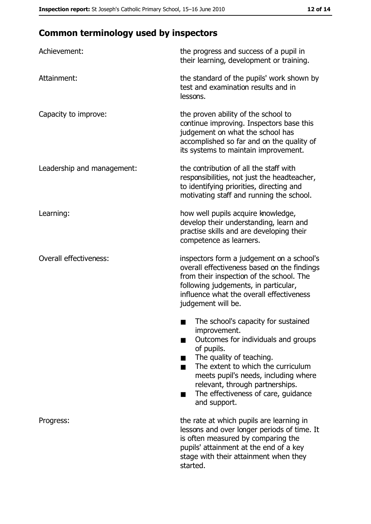# **Common terminology used by inspectors**

| Achievement:                  | the progress and success of a pupil in<br>their learning, development or training.                                                                                                                                                                                                                                |
|-------------------------------|-------------------------------------------------------------------------------------------------------------------------------------------------------------------------------------------------------------------------------------------------------------------------------------------------------------------|
| Attainment:                   | the standard of the pupils' work shown by<br>test and examination results and in<br>lessons.                                                                                                                                                                                                                      |
| Capacity to improve:          | the proven ability of the school to<br>continue improving. Inspectors base this<br>judgement on what the school has<br>accomplished so far and on the quality of<br>its systems to maintain improvement.                                                                                                          |
| Leadership and management:    | the contribution of all the staff with<br>responsibilities, not just the headteacher,<br>to identifying priorities, directing and<br>motivating staff and running the school.                                                                                                                                     |
| Learning:                     | how well pupils acquire knowledge,<br>develop their understanding, learn and<br>practise skills and are developing their<br>competence as learners.                                                                                                                                                               |
| <b>Overall effectiveness:</b> | inspectors form a judgement on a school's<br>overall effectiveness based on the findings<br>from their inspection of the school. The<br>following judgements, in particular,<br>influence what the overall effectiveness<br>judgement will be.                                                                    |
|                               | The school's capacity for sustained<br>improvement.<br>Outcomes for individuals and groups<br>of pupils.<br>The quality of teaching.<br>The extent to which the curriculum<br>meets pupil's needs, including where<br>relevant, through partnerships.<br>The effectiveness of care, guidance<br>▄<br>and support. |
| Progress:                     | the rate at which pupils are learning in<br>lessons and over longer periods of time. It<br>is often measured by comparing the<br>pupils' attainment at the end of a key<br>stage with their attainment when they<br>started.                                                                                      |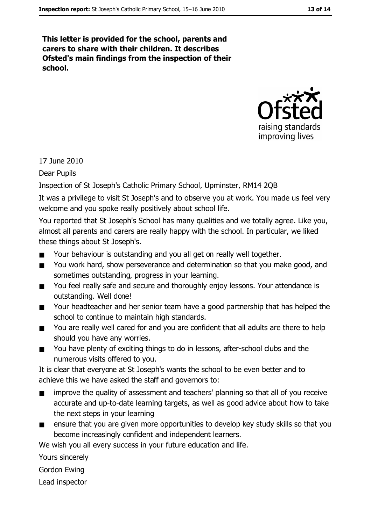This letter is provided for the school, parents and carers to share with their children. It describes Ofsted's main findings from the inspection of their school.



17 June 2010

**Dear Pupils** 

Inspection of St Joseph's Catholic Primary School, Upminster, RM14 2QB

It was a privilege to visit St Joseph's and to observe you at work. You made us feel very welcome and you spoke really positively about school life.

You reported that St Joseph's School has many qualities and we totally agree. Like you, almost all parents and carers are really happy with the school. In particular, we liked these things about St Joseph's.

- $\blacksquare$ Your behaviour is outstanding and you all get on really well together.
- You work hard, show perseverance and determination so that you make good, and  $\blacksquare$ sometimes outstanding, progress in your learning.
- You feel really safe and secure and thoroughly enjoy lessons. Your attendance is  $\blacksquare$ outstanding. Well done!
- Your headteacher and her senior team have a good partnership that has helped the  $\blacksquare$ school to continue to maintain high standards.
- You are really well cared for and you are confident that all adults are there to help  $\blacksquare$ should you have any worries.
- You have plenty of exciting things to do in lessons, after-school clubs and the  $\blacksquare$ numerous visits offered to you.

It is clear that everyone at St Joseph's wants the school to be even better and to achieve this we have asked the staff and governors to:

- improve the quality of assessment and teachers' planning so that all of you receive  $\blacksquare$ accurate and up-to-date learning targets, as well as good advice about how to take the next steps in your learning
- ensure that you are given more opportunities to develop key study skills so that you  $\blacksquare$ become increasingly confident and independent learners.

We wish you all every success in your future education and life.

Yours sincerely

Gordon Ewing

Lead inspector